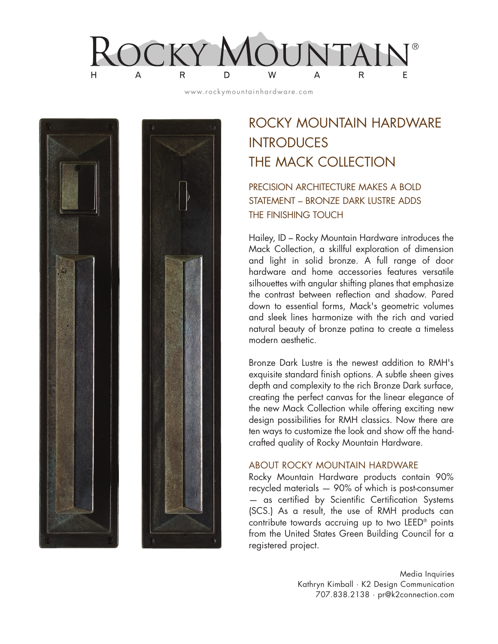$\mathsf{R}$ W H. A D A R E

www.rockymountainhardware.com



## ROCKY MOUNTAIN HARDWARE **INTRODUCES** THE MACK COLLECTION

## PRECISION ARCHITECTURE MAKES A BOLD STATEMENT – BRONZE DARK LUSTRE ADDS THE FINISHING TOUCH

Hailey, ID – Rocky Mountain Hardware introduces the Mack Collection, a skillful exploration of dimension and light in solid bronze. A full range of door hardware and home accessories features versatile silhouettes with angular shifting planes that emphasize the contrast between reflection and shadow. Pared down to essential forms, Mack's geometric volumes and sleek lines harmonize with the rich and varied natural beauty of bronze patina to create a timeless modern aesthetic.

Bronze Dark Lustre is the newest addition to RMH's exquisite standard finish options. A subtle sheen gives depth and complexity to the rich Bronze Dark surface, creating the perfect canvas for the linear elegance of the new Mack Collection while offering exciting new design possibilities for RMH classics. Now there are ten ways to customize the look and show off the handcrafted quality of Rocky Mountain Hardware.

## ABOUT ROCKY MOUNTAIN HARDWARE

Rocky Mountain Hardware products contain 90% recycled materials — 90% of which is post-consumer — as certified by Scientific Certification Systems (SCS.) As a result, the use of RMH products can contribute towards accruing up to two LEED® points from the United States Green Building Council for a registered project.